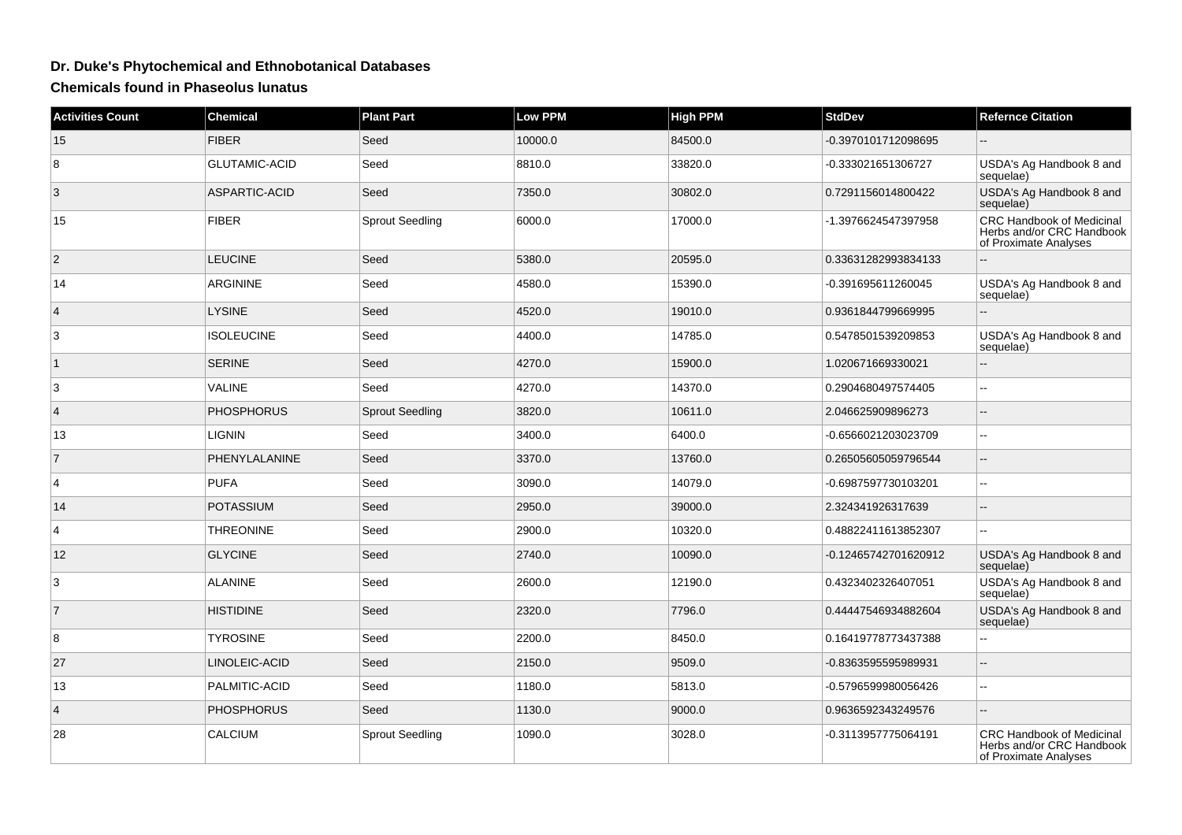## **Dr. Duke's Phytochemical and Ethnobotanical Databases**

**Chemicals found in Phaseolus lunatus**

| <b>Activities Count</b> | <b>Chemical</b>      | <b>Plant Part</b>      | <b>Low PPM</b> | <b>High PPM</b> | <b>StdDev</b>        | <b>Refernce Citation</b>                                                        |
|-------------------------|----------------------|------------------------|----------------|-----------------|----------------------|---------------------------------------------------------------------------------|
| 15                      | <b>FIBER</b>         | Seed                   | 10000.0        | 84500.0         | -0.3970101712098695  |                                                                                 |
| 8                       | <b>GLUTAMIC-ACID</b> | Seed                   | 8810.0         | 33820.0         | -0.333021651306727   | USDA's Ag Handbook 8 and<br>sequelae)                                           |
| 3                       | ASPARTIC-ACID        | Seed                   | 7350.0         | 30802.0         | 0.7291156014800422   | USDA's Ag Handbook 8 and<br>sequelae)                                           |
| 15                      | <b>FIBER</b>         | <b>Sprout Seedling</b> | 6000.0         | 17000.0         | -1.3976624547397958  | CRC Handbook of Medicinal<br>Herbs and/or CRC Handbook<br>of Proximate Analyses |
| $\overline{2}$          | <b>LEUCINE</b>       | Seed                   | 5380.0         | 20595.0         | 0.33631282993834133  |                                                                                 |
| 14                      | <b>ARGININE</b>      | Seed                   | 4580.0         | 15390.0         | -0.391695611260045   | USDA's Ag Handbook 8 and<br>sequelae)                                           |
| $\overline{4}$          | <b>LYSINE</b>        | Seed                   | 4520.0         | 19010.0         | 0.9361844799669995   |                                                                                 |
| 3                       | <b>ISOLEUCINE</b>    | Seed                   | 4400.0         | 14785.0         | 0.5478501539209853   | USDA's Ag Handbook 8 and<br>sequelae)                                           |
| $\vert$ 1               | <b>SERINE</b>        | Seed                   | 4270.0         | 15900.0         | 1.020671669330021    |                                                                                 |
| 3                       | VALINE               | Seed                   | 4270.0         | 14370.0         | 0.2904680497574405   |                                                                                 |
| $\overline{4}$          | <b>PHOSPHORUS</b>    | <b>Sprout Seedling</b> | 3820.0         | 10611.0         | 2.046625909896273    | $-$                                                                             |
| 13                      | <b>LIGNIN</b>        | Seed                   | 3400.0         | 6400.0          | -0.6566021203023709  | ۵.                                                                              |
| $\overline{7}$          | PHENYLALANINE        | Seed                   | 3370.0         | 13760.0         | 0.26505605059796544  |                                                                                 |
| $\overline{4}$          | <b>PUFA</b>          | Seed                   | 3090.0         | 14079.0         | -0.6987597730103201  | L.                                                                              |
| 14                      | POTASSIUM            | Seed                   | 2950.0         | 39000.0         | 2.324341926317639    | $-$                                                                             |
| $\overline{4}$          | <b>THREONINE</b>     | Seed                   | 2900.0         | 10320.0         | 0.48822411613852307  | --                                                                              |
| 12                      | <b>GLYCINE</b>       | Seed                   | 2740.0         | 10090.0         | -0.12465742701620912 | USDA's Ag Handbook 8 and<br>sequelae)                                           |
| 3                       | <b>ALANINE</b>       | Seed                   | 2600.0         | 12190.0         | 0.4323402326407051   | USDA's Ag Handbook 8 and<br>sequelae)                                           |
| $\overline{7}$          | <b>HISTIDINE</b>     | Seed                   | 2320.0         | 7796.0          | 0.44447546934882604  | USDA's Ag Handbook 8 and<br>sequelae)                                           |
| 8                       | <b>TYROSINE</b>      | Seed                   | 2200.0         | 8450.0          | 0.16419778773437388  | $\overline{a}$                                                                  |
| 27                      | LINOLEIC-ACID        | Seed                   | 2150.0         | 9509.0          | -0.8363595595989931  |                                                                                 |
| 13                      | PALMITIC-ACID        | Seed                   | 1180.0         | 5813.0          | -0.5796599980056426  |                                                                                 |
| $\overline{4}$          | <b>PHOSPHORUS</b>    | Seed                   | 1130.0         | 9000.0          | 0.9636592343249576   | --                                                                              |
| 28                      | <b>CALCIUM</b>       | <b>Sprout Seedling</b> | 1090.0         | 3028.0          | -0.3113957775064191  | CRC Handbook of Medicinal<br>Herbs and/or CRC Handbook<br>of Proximate Analyses |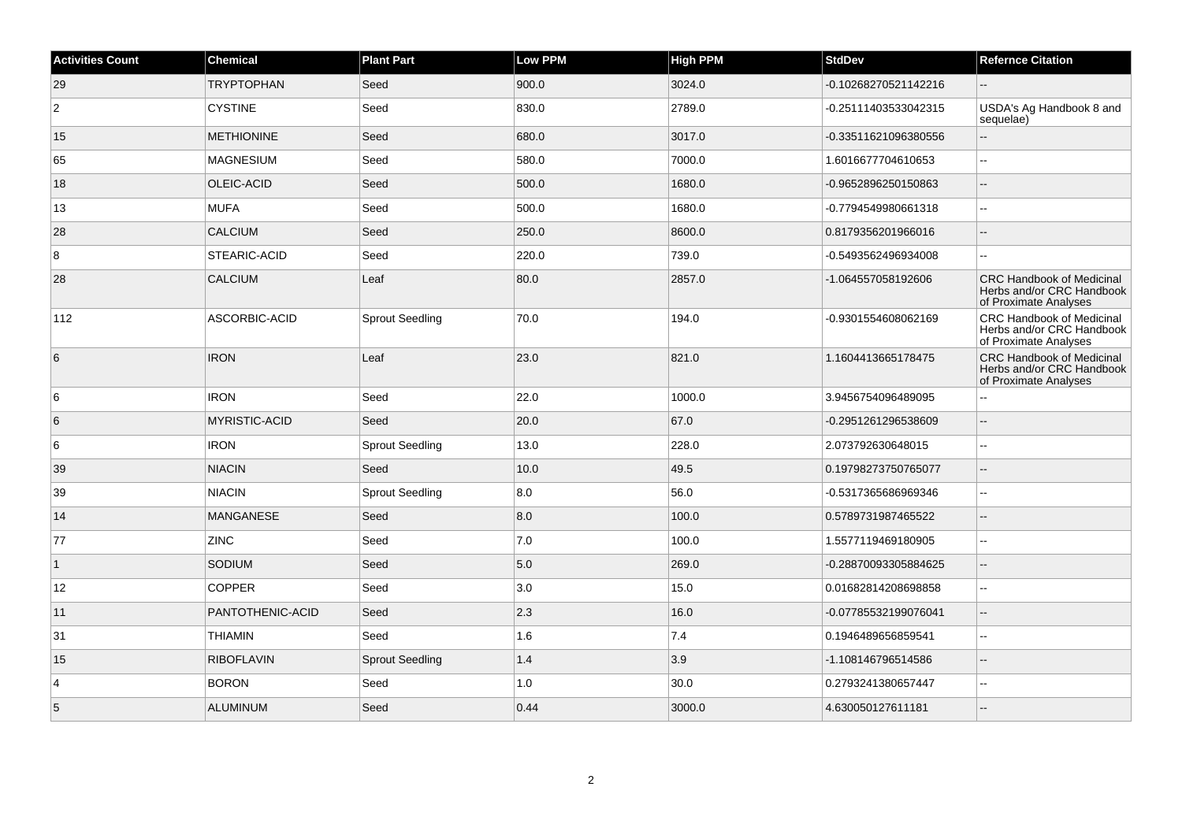| <b>Activities Count</b> | Chemical             | <b>Plant Part</b>      | Low PPM | <b>High PPM</b> | <b>StdDev</b>        | <b>Refernce Citation</b>                                                               |
|-------------------------|----------------------|------------------------|---------|-----------------|----------------------|----------------------------------------------------------------------------------------|
| 29                      | <b>TRYPTOPHAN</b>    | Seed                   | 900.0   | 3024.0          | -0.10268270521142216 |                                                                                        |
| $\overline{2}$          | <b>CYSTINE</b>       | Seed                   | 830.0   | 2789.0          | -0.25111403533042315 | USDA's Ag Handbook 8 and<br>sequelae)                                                  |
| 15                      | <b>METHIONINE</b>    | Seed                   | 680.0   | 3017.0          | -0.33511621096380556 | $\overline{a}$                                                                         |
| 65                      | <b>MAGNESIUM</b>     | Seed                   | 580.0   | 7000.0          | 1.6016677704610653   | $\overline{\phantom{a}}$                                                               |
| 18                      | OLEIC-ACID           | Seed                   | 500.0   | 1680.0          | -0.9652896250150863  |                                                                                        |
| 13                      | <b>MUFA</b>          | Seed                   | 500.0   | 1680.0          | -0.7794549980661318  | $\sim$                                                                                 |
| 28                      | <b>CALCIUM</b>       | Seed                   | 250.0   | 8600.0          | 0.8179356201966016   | $\sim$                                                                                 |
| 8                       | STEARIC-ACID         | Seed                   | 220.0   | 739.0           | -0.5493562496934008  |                                                                                        |
| 28                      | <b>CALCIUM</b>       | Leaf                   | 80.0    | 2857.0          | -1.064557058192606   | <b>CRC Handbook of Medicinal</b><br>Herbs and/or CRC Handbook<br>of Proximate Analyses |
| 112                     | ASCORBIC-ACID        | <b>Sprout Seedling</b> | 70.0    | 194.0           | -0.9301554608062169  | <b>CRC Handbook of Medicinal</b><br>Herbs and/or CRC Handbook<br>of Proximate Analyses |
| 6                       | <b>IRON</b>          | Leaf                   | 23.0    | 821.0           | 1.1604413665178475   | <b>CRC Handbook of Medicinal</b><br>Herbs and/or CRC Handbook<br>of Proximate Analyses |
| 6                       | <b>IRON</b>          | Seed                   | 22.0    | 1000.0          | 3.9456754096489095   |                                                                                        |
| $6\phantom{.}6$         | <b>MYRISTIC-ACID</b> | Seed                   | 20.0    | 67.0            | -0.2951261296538609  | $\overline{a}$                                                                         |
| 6                       | <b>IRON</b>          | <b>Sprout Seedling</b> | 13.0    | 228.0           | 2.073792630648015    | $\sim$                                                                                 |
| 39                      | <b>NIACIN</b>        | Seed                   | 10.0    | 49.5            | 0.19798273750765077  |                                                                                        |
| 39                      | <b>NIACIN</b>        | <b>Sprout Seedling</b> | 8.0     | 56.0            | -0.5317365686969346  | $\overline{\phantom{a}}$                                                               |
| 14                      | <b>MANGANESE</b>     | Seed                   | 8.0     | 100.0           | 0.5789731987465522   |                                                                                        |
| 77                      | <b>ZINC</b>          | Seed                   | 7.0     | 100.0           | 1.5577119469180905   | ÷.                                                                                     |
| $\vert$ 1               | SODIUM               | Seed                   | 5.0     | 269.0           | -0.28870093305884625 | $\overline{a}$                                                                         |
| 12                      | <b>COPPER</b>        | Seed                   | 3.0     | 15.0            | 0.01682814208698858  | ÷.                                                                                     |
| 11                      | PANTOTHENIC-ACID     | Seed                   | 2.3     | 16.0            | -0.07785532199076041 | $\overline{a}$                                                                         |
| 31                      | <b>THIAMIN</b>       | Seed                   | 1.6     | 7.4             | 0.1946489656859541   | $\overline{\phantom{a}}$                                                               |
| 15                      | <b>RIBOFLAVIN</b>    | <b>Sprout Seedling</b> | 1.4     | 3.9             | -1.108146796514586   |                                                                                        |
| $\overline{4}$          | <b>BORON</b>         | Seed                   | 1.0     | 30.0            | 0.2793241380657447   |                                                                                        |
| $\sqrt{5}$              | <b>ALUMINUM</b>      | Seed                   | 0.44    | 3000.0          | 4.630050127611181    |                                                                                        |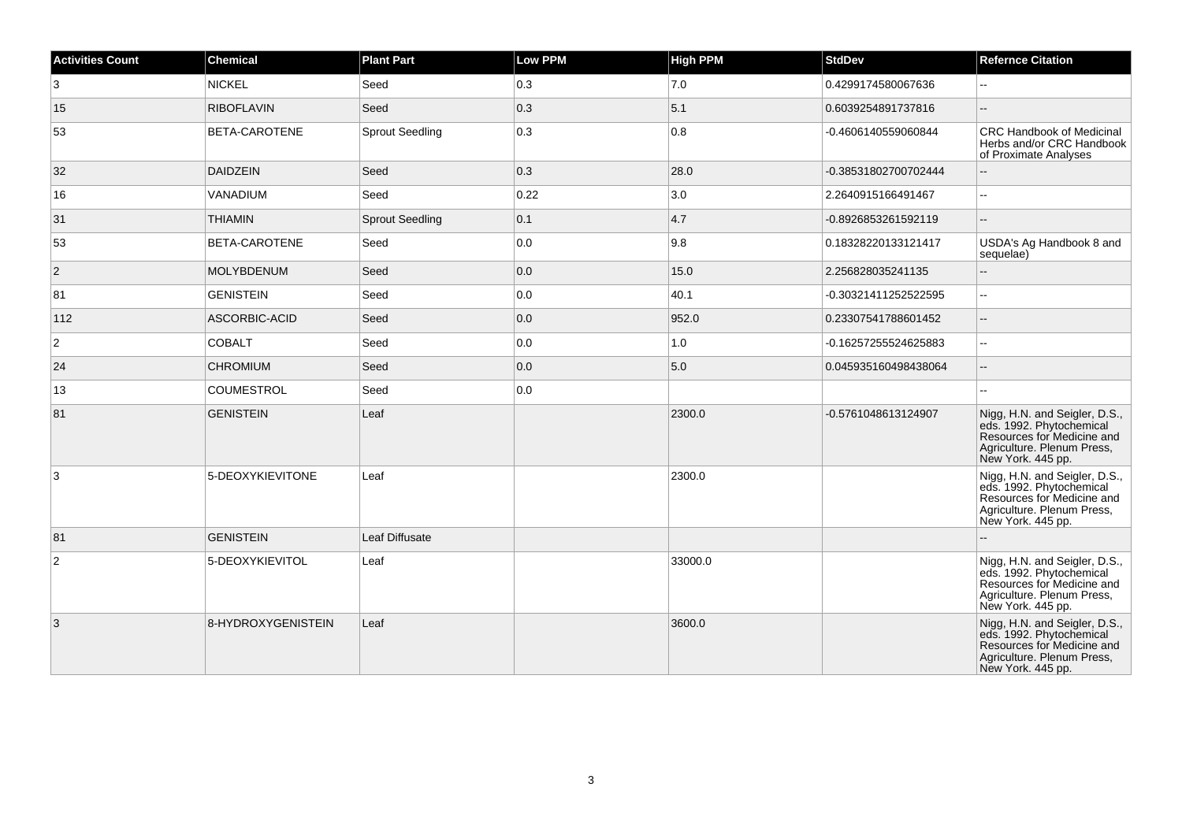| <b>Activities Count</b> | <b>Chemical</b>      | <b>Plant Part</b>      | <b>Low PPM</b> | <b>High PPM</b> | <b>StdDev</b>        | <b>Refernce Citation</b>                                                                                                                   |
|-------------------------|----------------------|------------------------|----------------|-----------------|----------------------|--------------------------------------------------------------------------------------------------------------------------------------------|
| 3                       | <b>NICKEL</b>        | Seed                   | 0.3            | 7.0             | 0.4299174580067636   |                                                                                                                                            |
| 15                      | <b>RIBOFLAVIN</b>    | Seed                   | 0.3            | 5.1             | 0.6039254891737816   |                                                                                                                                            |
| 53                      | BETA-CAROTENE        | <b>Sprout Seedling</b> | 0.3            | 0.8             | -0.4606140559060844  | CRC Handbook of Medicinal<br>Herbs and/or CRC Handbook<br>of Proximate Analyses                                                            |
| 32                      | <b>DAIDZEIN</b>      | Seed                   | 0.3            | 28.0            | -0.38531802700702444 |                                                                                                                                            |
| 16                      | VANADIUM             | Seed                   | 0.22           | 3.0             | 2.2640915166491467   | L.                                                                                                                                         |
| 31                      | <b>THIAMIN</b>       | <b>Sprout Seedling</b> | 0.1            | 4.7             | -0.8926853261592119  | $-$                                                                                                                                        |
| 53                      | <b>BETA-CAROTENE</b> | Seed                   | 0.0            | 9.8             | 0.18328220133121417  | USDA's Ag Handbook 8 and<br>sequelae)                                                                                                      |
| $\overline{2}$          | <b>MOLYBDENUM</b>    | Seed                   | 0.0            | 15.0            | 2.256828035241135    | $\overline{a}$                                                                                                                             |
| 81                      | <b>GENISTEIN</b>     | Seed                   | 0.0            | 40.1            | -0.30321411252522595 | $\overline{a}$                                                                                                                             |
| 112                     | ASCORBIC-ACID        | Seed                   | 0.0            | 952.0           | 0.23307541788601452  | $-$                                                                                                                                        |
| $\overline{2}$          | <b>COBALT</b>        | Seed                   | 0.0            | 1.0             | -0.16257255524625883 | $\overline{a}$                                                                                                                             |
| 24                      | <b>CHROMIUM</b>      | Seed                   | 0.0            | 5.0             | 0.045935160498438064 |                                                                                                                                            |
| 13                      | <b>COUMESTROL</b>    | Seed                   | 0.0            |                 |                      |                                                                                                                                            |
| 81                      | <b>GENISTEIN</b>     | Leaf                   |                | 2300.0          | -0.5761048613124907  | Nigg, H.N. and Seigler, D.S., eds. 1992. Phytochemical<br>Resources for Medicine and<br>Agriculture. Plenum Press,<br>New York. 445 pp.    |
| 3                       | 5-DEOXYKIEVITONE     | Leaf                   |                | 2300.0          |                      | Nigg, H.N. and Seigler, D.S.,<br>eds. 1992. Phytochemical<br>Resources for Medicine and<br>Agriculture. Plenum Press,<br>New York. 445 pp. |
| 81                      | <b>GENISTEIN</b>     | Leaf Diffusate         |                |                 |                      |                                                                                                                                            |
| $\overline{c}$          | 5-DEOXYKIEVITOL      | Leaf                   |                | 33000.0         |                      | Nigg, H.N. and Seigler, D.S.,<br>eds. 1992. Phytochemical<br>Resources for Medicine and<br>Agriculture. Plenum Press,<br>New York. 445 pp. |
| 3                       | 8-HYDROXYGENISTEIN   | Leaf                   |                | 3600.0          |                      | Nigg, H.N. and Seigler, D.S., eds. 1992. Phytochemical<br>Resources for Medicine and<br>Agriculture. Plenum Press,<br>New York. 445 pp.    |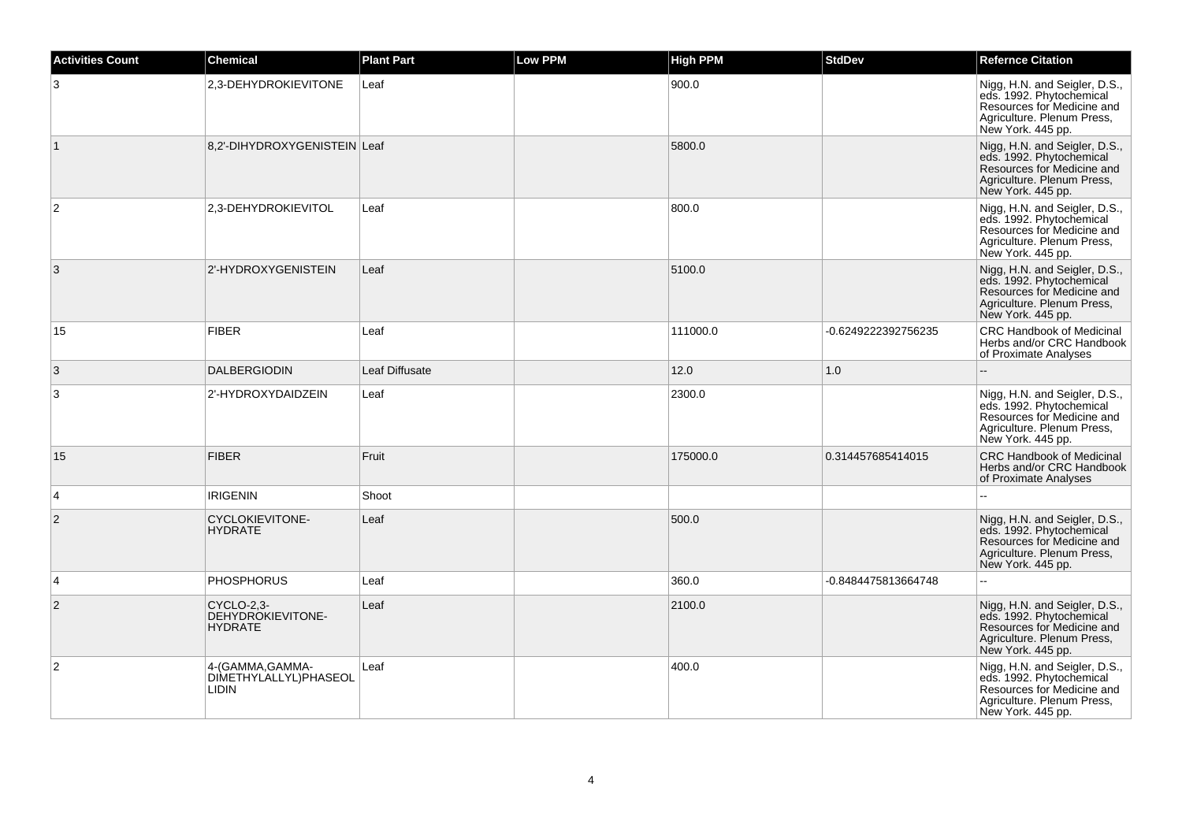| <b>Activities Count</b> | <b>Chemical</b>                                           | <b>Plant Part</b> | <b>Low PPM</b> | <b>High PPM</b> | <b>StdDev</b>       | <b>Refernce Citation</b>                                                                                                                   |
|-------------------------|-----------------------------------------------------------|-------------------|----------------|-----------------|---------------------|--------------------------------------------------------------------------------------------------------------------------------------------|
| 3                       | 2,3-DEHYDROKIEVITONE                                      | Leaf              |                | 900.0           |                     | Nigg, H.N. and Seigler, D.S.,<br>eds. 1992. Phytochemical<br>Resources for Medicine and<br>Agriculture. Plenum Press,<br>New York. 445 pp. |
| $\vert$ 1               | 8,2'-DIHYDROXYGENISTEIN Leaf                              |                   |                | 5800.0          |                     | Nigg, H.N. and Seigler, D.S.,<br>eds. 1992. Phytochemical<br>Resources for Medicine and<br>Agriculture. Plenum Press,<br>New York. 445 pp. |
| $\overline{2}$          | 2,3-DEHYDROKIEVITOL                                       | Leaf              |                | 800.0           |                     | Nigg, H.N. and Seigler, D.S.,<br>eds. 1992. Phytochemical<br>Resources for Medicine and<br>Agriculture. Plenum Press,<br>New York. 445 pp. |
| 3                       | 2'-HYDROXYGENISTEIN                                       | Leaf              |                | 5100.0          |                     | Nigg, H.N. and Seigler, D.S.,<br>eds. 1992. Phytochemical<br>Resources for Medicine and<br>Agriculture. Plenum Press,<br>New York. 445 pp. |
| 15                      | <b>FIBER</b>                                              | Leaf              |                | 111000.0        | -0.6249222392756235 | CRC Handbook of Medicinal<br>Herbs and/or CRC Handbook<br>of Proximate Analyses                                                            |
| 3                       | <b>DALBERGIODIN</b>                                       | Leaf Diffusate    |                | 12.0            | 1.0                 |                                                                                                                                            |
| 3                       | 2'-HYDROXYDAIDZEIN                                        | Leaf              |                | 2300.0          |                     | Nigg, H.N. and Seigler, D.S.,<br>eds. 1992. Phytochemical<br>Resources for Medicine and<br>Agriculture. Plenum Press,<br>New York. 445 pp. |
| 15                      | <b>FIBER</b>                                              | Fruit             |                | 175000.0        | 0.314457685414015   | <b>CRC Handbook of Medicinal</b><br>Herbs and/or CRC Handbook<br>of Proximate Analyses                                                     |
| $\overline{4}$          | <b>IRIGENIN</b>                                           | Shoot             |                |                 |                     |                                                                                                                                            |
| 2                       | <b>CYCLOKIEVITONE-</b><br><b>HYDRATE</b>                  | Leaf              |                | 500.0           |                     | Nigg, H.N. and Seigler, D.S., eds. 1992. Phytochemical<br>Resources for Medicine and<br>Agriculture. Plenum Press,<br>New York. 445 pp.    |
| 4                       | <b>PHOSPHORUS</b>                                         | Leaf              |                | 360.0           | -0.8484475813664748 |                                                                                                                                            |
| $\overline{c}$          | CYCLO-2,3-<br>DEHYDROKIEVITONE-<br><b>HYDRATE</b>         | Leaf              |                | 2100.0          |                     | Nigg, H.N. and Seigler, D.S.,<br>eds. 1992. Phytochemical<br>Resources for Medicine and<br>Agriculture. Plenum Press,<br>New York. 445 pp. |
| $\overline{2}$          | 4-(GAMMA, GAMMA-<br>DIMETHYLALLYL)PHASEOL<br><b>LIDIN</b> | Leaf              |                | 400.0           |                     | Nigg, H.N. and Seigler, D.S., eds. 1992. Phytochemical<br>Resources for Medicine and<br>Agriculture. Plenum Press,<br>New York. 445 pp.    |